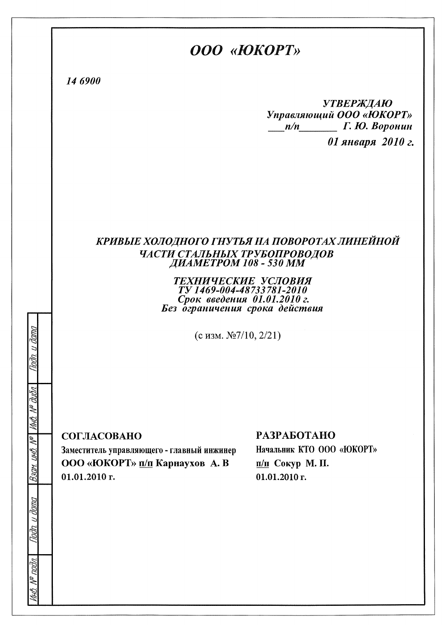## OOO «HOKOPT»

14 6900

**УТВЕРЖДАЮ** Управляющий ООО «ЮКОРТ»  $\frac{m}{n}$  Г. Ю. Воронин 01 января 2010 г.

# КРИВЫЕ ХОЛОДНОГО ГНУТЬЯ НА ПОВОРОТАХ ЛИНЕЙНОЙ ЧАСТИ СТАЛЬНЫХ ТРУБОПРОВОДОВ<br>ДИАМЕТРОМ 108 - 530 ММ

#### ТЕХНИЧЕСКИЕ УСЛОВИЯ TV 1469-004-48733781-2010 Срок введения 01.01.2010 г. Без ограничения срока действия

(с изм.  $\mathcal{N}$ 2/10, 2/21)

СОГЛАСОВАНО

(HH)

Ram.

nuv

Заместитель управляющего - главный инжинер ООО «ЮКОРТ» п/п Карнаухов А. В  $01.01.2010$  r.

#### **РАЗРАБОТАНО**

Начальник КТО ООО «ЮКОРТ» п/п Сокур М. П.  $01.01.2010$  r.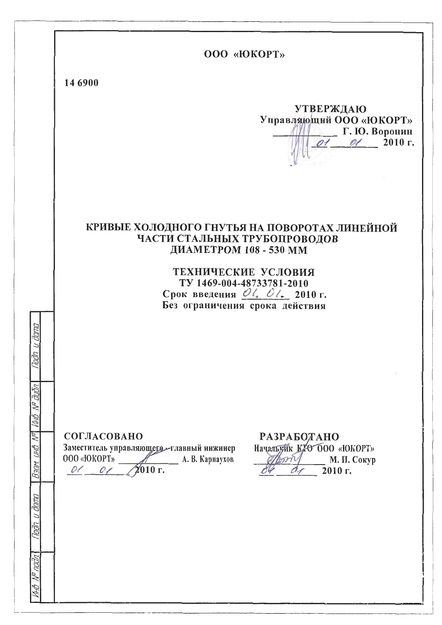|                      | OOO «ЮКОРТ»                                                                                                                                                                                                                                                              |
|----------------------|--------------------------------------------------------------------------------------------------------------------------------------------------------------------------------------------------------------------------------------------------------------------------|
|                      | 14 6900                                                                                                                                                                                                                                                                  |
|                      | <b>УТВЕРЖДАЮ</b><br>Управляющий ООО «ЮКОРТ»<br>$\Gamma$ . Ю. Воронин<br>$01$ $01$ $2010$ r.                                                                                                                                                                              |
|                      | КРИВЫЕ ХОЛОДНОГО ГНУТЬЯ НА ПОВОРОТАХ ЛИНЕЙНОЙ<br>ЧАСТИ СТАЛЬНЫХ ТРУБОПРОВОДОВ<br>ДИАМЕТРОМ 108 - 530 ММ<br>ТЕХНИЧЕСКИЕ УСЛОВИЯ<br>TY 1469-004-48733781-2010<br>Срок введения $\mathcal{O}l_{\bullet}$ $\mathcal{O}l_{\bullet}$ 2010 г.<br>Без ограничения срока действия |
| Ø                    |                                                                                                                                                                                                                                                                          |
| āuōn.                |                                                                                                                                                                                                                                                                          |
| vn.<br>UHB.<br>Взам. | СОГЛАСОВАНО<br>РАЗРАБОДАНО<br>Начальник КТО 000 «ЮКОРТ»<br>Заместитель управляющего - главный инжинер<br>000 «ЮКОРТ»<br>А. В. Карнаухов<br>М. П. Сокур<br>Bom<br>2010 г.<br>01 01<br>2010 г.                                                                             |
| מחום ט מחום          |                                                                                                                                                                                                                                                                          |
| падл                 |                                                                                                                                                                                                                                                                          |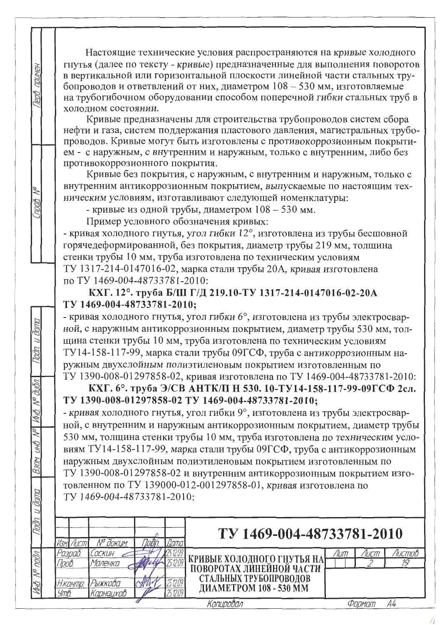Настоящие технические условия распространяются на кривые холодного гнутья (далее по тексту - кривые) предназначенные для выполнения поворотов в вертикальной или горизонтальной плоскости линейной части стальных трубопроводов и ответвлений от них, диаметром 108 - 530 мм, изготовляемые на трубогибочном оборудовании способом поперечной гибки стальных труб в холодном состоянии.

Кривые предназначены для строительства трубопроводов систем сбора нефти и газа, систем поддержания пластового давления, магистральных трубопроводов. Кривые могут быть изготовлены с противокоррозионным покрытием - с наружным, с внутренним и наружным, только с внутренним, либо без противокоррозионного покрытия.

Кривые без покрытия, с наружным, с внутренним и наружным, только с внутренним антикоррозионным покрытием, выпускаемые по настоящим техническим условиям, изготавливают следующей номенклатуры:

- кривые из одной трубы, диаметром 108 - 530 мм.

Пример условного обозначения кривых:

примен

Tenh

 $\eta$ 

 $\frac{1}{\sqrt{2}}$ 

NO AINA

 $\overline{M\mu A}$ 

 $\sqrt{2}$ 

 $\frac{3}{10}$ 

**KASIM** 

- кривая холодного гнутья, угол гибки 12°, изготовлена из трубы бесшовной горячедеформированной, без покрытия, диаметр трубы 219 мм, толщина стенки трубы 10 мм, труба изготовлена по техническим условиям ТУ 1317-214-0147016-02, марка стали трубы 20А, кривая изготовлена по ТУ 1469-004-48733781-2010:

КХГ. 12°. труба Б/Ш Г/Д 219.10-ТУ 1317-214-0147016-02-20А TV 1469-004-48733781-2010;

- кривая холодного гнутья, угол гибки 6°, изготовлена из трубы электросварной, с наружным антикоррозионным покрытием, диаметр трубы 530 мм, толщина стенки трубы 10 мм, труба изготовлена по техническим условиям ТУ14-158-117-99, марка стали трубы 09ГСФ, труба с антикоррозионным наружным двухслойным полиэтиленовым покрытием изготовленным по

ТУ 1390-008-01297858-02, кривая изготовлена по ТУ 1469-004-48733781-2010: КХГ. 6°. труба Э/СВ АНТК/П Н 530. 10-ТУ14-158-117-99-09ГСФ 2сл. TV 1390-008-01297858-02 TV 1469-004-48733781-2010;

- кривая холодного гнутья, угол гибки 9°, изготовлена из трубы электросварной, с внутренним и наружным антикоррозионным покрытием, диаметр трубы 530 мм, толщина стенки трубы 10 мм, труба изготовлена по техническим условиям ТУ14-158-117-99, марка стали трубы 09ГСФ, труба с антикоррозионным наружным двухслойным полиэтиленовым покрытием изготовленным по ТУ 1390-008-01297858-02 и внутренним антикоррозионным покрытием изготовленном по ТУ 139000-012-001297858-01, кривая изготовлена по TV 1469-004-48733781-2010:

| <u>togn</u> |                  | N <sup>o</sup> доғим. |  | TV 1469-004-48733781-2010                                  |       |        |          |
|-------------|------------------|-----------------------|--|------------------------------------------------------------|-------|--------|----------|
|             | 'азрад.<br>Too6. | Lockuh<br>Маленкі     |  | КРИВЫЕ ХОЛОДНОГО ГНУТЬЯ НА  <br>  ПОВОРОТАХ ЛИНЕЙНОЙ ЧАСТИ | /ІШП. | /ІШСПТ | Ίι ιςποβ |
| aV<br>hil3. | Н.КОНПО.<br>УтВ. | Рыжкова<br>Карнацхов  |  | СТАЛЬНЫХ ТРУБОПРОВОДОВ<br>ДИАМЕТРОМ 108 - 530 ММ           |       |        |          |
|             |                  |                       |  | Kתחלוחתו וחה                                               |       | Фллмпп |          |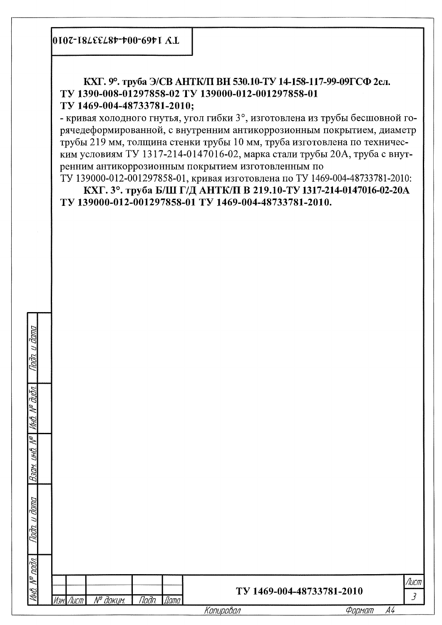0107-18LEEL8t-t00-69t1 A.L

КХГ. 9°. труба Э/СВ АНТК/П ВН 530.10-ТУ 14-158-117-99-09ГСФ 2сл. TV 1390-008-01297858-02 TV 139000-012-001297858-01 TV 1469-004-48733781-2010;

- кривая холодного гнутья, угол гибки 3°, изготовлена из трубы бесшовной горячедеформированной, с внутренним антикоррозионным покрытием, диаметр трубы 219 мм, толщина стенки трубы 10 мм, труба изготовлена по техническим условиям ТУ 1317-214-0147016-02, марка стали трубы 20А, труба с внутренним антикоррозионным покрытием изготовленным по

ТУ 139000-012-001297858-01, кривая изготовлена по ТУ 1469-004-48733781-2010: КХГ. 3°. труба Б/Ш Г/Д АНТК/П В 219.10-ТУ 1317-214-0147016-02-20А TV 139000-012-001297858-01 TV 1469-004-48733781-2010.

| こうこん<br>]<br>}<br>}<br>ĺ<br>;<br>);<br>į                            |  |
|---------------------------------------------------------------------|--|
| :<br>;<br>;<br>;<br>l<br>ĺ                                          |  |
| ;<br>;<br>;<br>Ì<br>:<br>נונים<br>- 2021<br>ĺ<br>١                  |  |
| l<br>]<br>]<br>]<br>Ì<br>Ī<br>I<br>ו<br>לו<br>:<br>)<br>)<br>l<br>l |  |
| i<br>:<br>)<br>)<br>i                                               |  |

|           |          |                         |           | /luci<br>TV 1469-004-48733781-2010          |
|-----------|----------|-------------------------|-----------|---------------------------------------------|
| Изм. Лист | № докцм. | Подп.<br>$\sqrt{A}$ ama | Копировал | $\mathcal{J}_{\mathcal{L}}$<br>А4<br>Формат |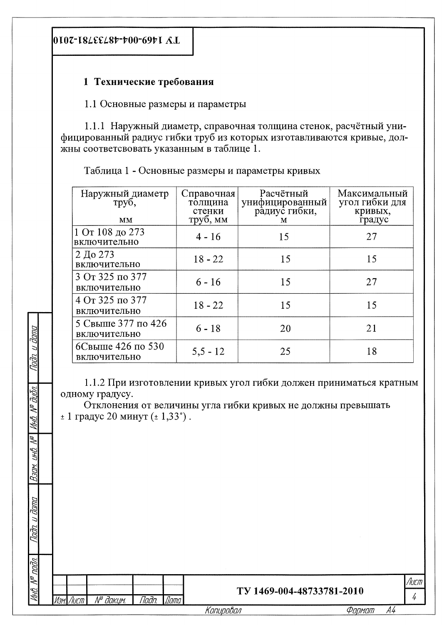האוה

₹

hhili.

No I (Hl)

Вэлм

### 1 Технические требования

1.1 Основные размеры и параметры

1.1.1 Наружный диаметр, справочная толщина стенок, расчётный унифицированный радиус гибки труб из которых изготавливаются кривые, должны соответсвовать указанным в таблице 1.

Таблица 1 - Основные размеры и параметры кривых

| Наружный диаметр<br>труб,<br>MM    | Справочная<br>толщина<br>стенки<br>труб, мм | Расчётный<br>унифицированный<br>радиус гибки,<br>M | Максимальный<br>угол гибки для<br>кривых,<br>градус |
|------------------------------------|---------------------------------------------|----------------------------------------------------|-----------------------------------------------------|
| 1 От 108 до 273<br>включительно    | $4 - 16$                                    | 15                                                 | 27                                                  |
| 2 До 273<br>включительно           | $18 - 22$                                   | 15                                                 | 15                                                  |
| 3 От 325 по 377<br>включительно    | $6 - 16$                                    | 15                                                 | 27                                                  |
| 4 От 325 по 377<br>включительно    | $18 - 22$                                   | 15                                                 | 15                                                  |
| 5 Свыше 377 по 426<br>включительно | $6 - 18$                                    | 20                                                 | 21                                                  |
| 6Свыше 426 по 530<br>включительно  | $5,5 - 12$                                  | 25                                                 | 18                                                  |

1.1.2 При изготовлении кривых угол гибки должен приниматься кратным одному градусу.

Отклонения от величины угла гибки кривых не должны превышать  $± 1$  градус 20 минут ( $± 1,33$ °).

| <b>Jana</b><br>$\overline{a}$<br>Tadn.    |           |          |                     |             |                           |        |    |             |
|-------------------------------------------|-----------|----------|---------------------|-------------|---------------------------|--------|----|-------------|
| nodn.                                     |           |          |                     |             |                           |        |    |             |
| $\overline{\mathscr{L}}$<br>ИН <u>Й</u> . | Изм. Лист | № докум. | <i><b>Nodn.</b></i> | <b>Dama</b> | TV 1469-004-48733781-2010 |        |    | Лист  <br>4 |
|                                           |           |          |                     |             | Копировал                 | Формат | A4 |             |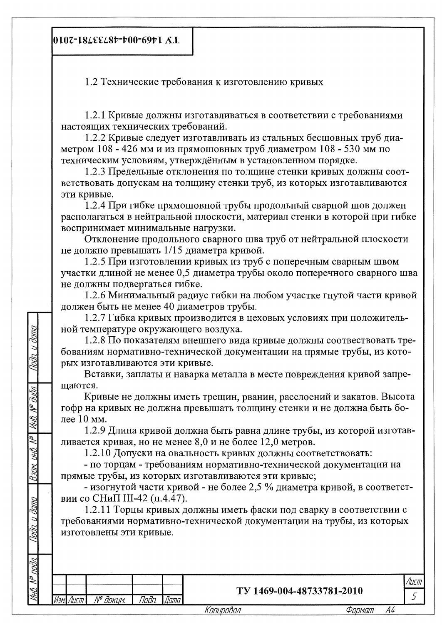0107-18Δεελ84-400-6941 Α.Ι.

**Janna** 

 $\overline{a}$ 

Tada

dutn.

S

ViHA

ÑΣ

(IHI)

Bam

**Jana** 

1.2 Технические требования к изготовлению кривых

1.2.1 Кривые должны изготавливаться в соответствии с требованиями настоящих технических требований.

1.2.2 Кривые следует изготавливать из стальных бесшовных труб диаметром 108 - 426 мм и из прямошовных труб диаметром 108 - 530 мм по техническим условиям, утверждённым в установленном порядке.

1.2.3 Предельные отклонения по толщине стенки кривых должны соответствовать допускам на толщину стенки труб, из которых изготавливаются эти кривые.

1.2.4 При гибке прямошовной трубы продольный сварной шов должен располагаться в нейтральной плоскости, материал стенки в которой при гибке воспринимает минимальные нагрузки.

Отклонение продольного сварного шва труб от нейтральной плоскости не должно превышать 1/15 диаметра кривой.

1.2.5 При изготовлении кривых из труб с поперечным сварным швом участки длиной не менее 0,5 диаметра трубы около поперечного сварного шва не должны подвергаться гибке.

1.2.6 Минимальный радиус гибки на любом участке гнутой части кривой должен быть не менее 40 диаметров трубы.

1.2.7 Гибка кривых производится в цеховых условиях при положительной температуре окружающего воздуха.

1.2.8 По показателям внешнего вида кривые должны соотвествовать требованиям нормативно-технической документации на прямые трубы, из которых изготавливаются эти кривые.

Вставки, заплаты и наварка металла в месте повреждения кривой запрешаются.

Кривые не должны иметь трещин, рванин, расслоений и закатов. Высота гофр на кривых не должна превышать толщину стенки и не должна быть более 10 мм.

1.2.9 Длина кривой должна быть равна длине трубы, из которой изготавливается кривая, но не менее 8,0 и не более 12,0 метров.

1.2.10 Допуски на овальность кривых должны соответствовать:

- по торцам - требованиям нормативно-технической документации на прямые трубы, из которых изготавливаются эти кривые;

- изогнутой части кривой - не более 2,5 % диаметра кривой, в соответствии со СНиП III-42 (п.4.47).

1.2.11 Торцы кривых должны иметь фаски под сварку в соответствии с требованиями нормативно-технической документации на трубы, из которых изготовлены эти кривые.

| ۱⊬    |      |                        |       |      |                           |        |    |        |
|-------|------|------------------------|-------|------|---------------------------|--------|----|--------|
| l 9   |      |                        |       |      |                           |        |    | /ІИСПТ |
| l a~i | Изм. | $\Lambda$ /0<br>доким. | Toðn. | Дата | TV 1469-004-48733781-2010 |        |    |        |
|       |      |                        |       |      | Knnunnhnn                 | Фапмат | АΔ |        |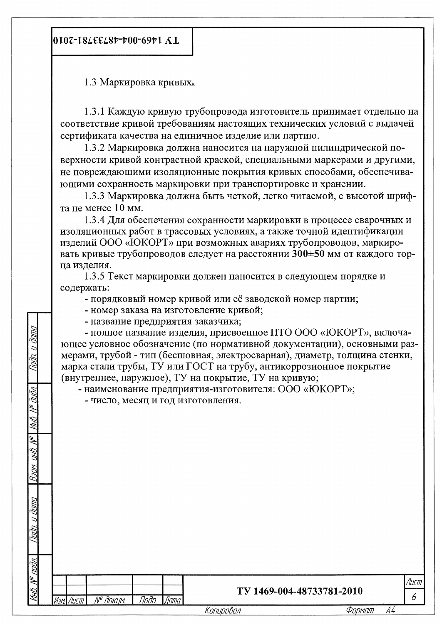0107-184EE487-700-6971 A.L

1.3 Маркировка кривых

1.3.1 Каждую кривую трубопровода изготовитель принимает отдельно на соответствие кривой требованиям настоящих технических условий с выдачей сертификата качества на единичное изделие или партию.

1.3.2 Маркировка должна наносится на наружной цилиндрической поверхности кривой контрастной краской, специальными маркерами и другими, не повреждающими изоляционные покрытия кривых способами, обеспечивающими сохранность маркировки при транспортировке и хранении.

1.3.3 Маркировка должна быть четкой, легко читаемой, с высотой шрифта не менее 10 мм.

1.3.4 Для обеспечения сохранности маркировки в процессе сварочных и изоляционных работ в трассовых условиях, а также точной идентификации изделий ООО «ЮКОРТ» при возможных авариях трубопроводов, маркировать кривые трубопроводов следует на расстоянии 300±50 мм от каждого торна излелия.

1.3.5 Текст маркировки должен наносится в следующем порядке и содержать:

- порядковый номер кривой или её заводской номер партии;

- номер заказа на изготовление кривой;

- название предприятия заказчика;

- полное название изделия, присвоенное ПТО ООО «ЮКОРТ», включающее условное обозначение (по нормативной документации), основными размерами, трубой - тип (бесшовная, электросварная), диаметр, толщина стенки, марка стали трубы, ТУ или ГОСТ на трубу, антикоррозионное покрытие (внутреннее, наружное), ТУ на покрытие, ТУ на кривую;

- наименование предприятия-изготовителя: ООО «ЮКОРТ»;

- число, месяц и год изготовления.

 $\breve\prec$ Viriti

 $\frac{1}{2}$ (HK)

|                                 | Изм. Лист | № докцм. | Подп. | $\sqrt{A}$ ama | TV 1469-004-48733781-2010<br>Копировал | Фармат | A4 | 6    |
|---------------------------------|-----------|----------|-------|----------------|----------------------------------------|--------|----|------|
| MHB. N <sup>o</sup>             |           |          |       |                |                                        |        |    | Лист |
| <u>nodn.</u>                    |           |          |       |                |                                        |        |    |      |
| dana<br>$\overline{a}$<br>lodn. |           |          |       |                |                                        |        |    |      |
| <b>NDEF</b>                     |           |          |       |                |                                        |        |    |      |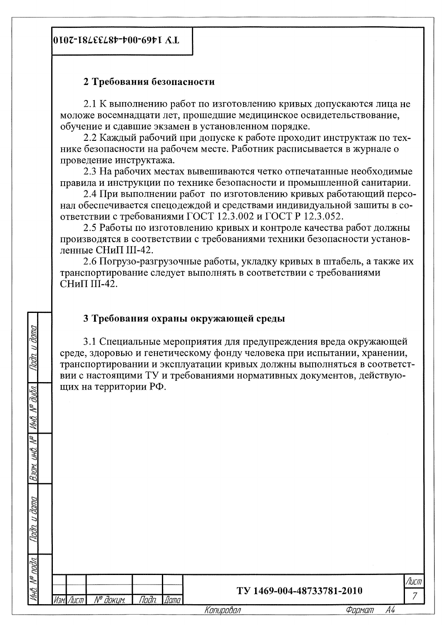0107-18LEEL8b-b00-69b1 A.L

Duwy

#### 2 Требования безопасности

2.1 К выполнению работ по изготовлению кривых допускаются лица не моложе восемнадцати лет, прошедшие медицинское освидетельствование, обучение и сдавшие экзамен в установленном порядке.

2.2 Каждый рабочий при допуске к работе проходит инструктаж по технике безопасности на рабочем месте. Работник расписывается в журнале о проведение инструктажа.

2.3 На рабочих местах вывешиваются четко отпечатанные необходимые правила и инструкции по технике безопасности и промышленной санитарии.

2.4 При выполнении работ по изготовлению кривых работающий персонал обеспечивается спецодеждой и средствами индивидуальной зашиты в соответствии с требованиями ГОСТ 12.3.002 и ГОСТ Р 12.3.052.

2.5 Работы по изготовлению кривых и контроле качества работ должны производятся в соответствии с требованиями техники безопасности установленные СНиП III-42.

2.6 Погрузо-разгрузочные работы, укладку кривых в штабель, а также их транспортирование следует выполнять в соответствии с требованиями СНиП III-42.

### 3 Требования охраны окружающей среды

3.1 Специальные мероприятия для предупреждения вреда окружающей среде, здоровью и генетическому фонду человека при испытании, хранении, транспортировании и эксплуатации кривых должны выполняться в соответствии с настоящими ТУ и требованиями нормативных документов, действующих на территории РФ.

|                              |           |          |              |             | Копировал | Формат                    | A4 |                        |
|------------------------------|-----------|----------|--------------|-------------|-----------|---------------------------|----|------------------------|
| noon.<br>MHO. N <sup>w</sup> | Изм. Лист | № докцм. | <u>Noðn.</u> | <i>Dama</i> |           | TV 1469-004-48733781-2010 |    | Лист<br>$\overline{7}$ |
| <u>van. u dama</u>           |           |          |              |             |           |                           |    |                        |
| ₹<br>ВЭДМ. ИНД.              |           |          |              |             |           |                           |    |                        |
| P<br>₹<br>MHD.               |           |          |              |             |           |                           |    |                        |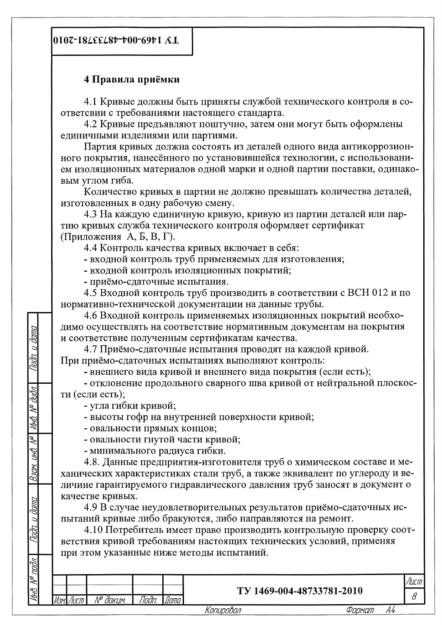### 4 Правила приёмки

4.1 Кривые должны быть приняты службой технического контроля в соответсвии с требованиями настоящего стандарта.

4.2 Кривые предъявляют поштучно, затем они могут быть оформлены единичными изделиями или партиями.

Партия кривых должна состоять из деталей одного вида антикоррозионного покрытия, нанесённого по установившейся технологии, с использованием изоляционных материалов одной марки и одной партии поставки, одинаковым углом гиба.

Количество кривых в партии не должно превышать количества деталей, изготовленных в одну рабочую смену.

4.3 На каждую единичную кривую, кривую из партии деталей или партию кривых служба технического контроля оформляет сертификат (Приложения А, Б, В, Г).

4.4 Контроль качества кривых включает в себя:

- входной контроль труб применяемых для изготовления;

- входной контроль изоляционных покрытий;

- приёмо-сдаточные испытания.

4.5 Входной контроль труб производить в соответствии с ВСН 012 и по нормативно-технической документации на данные трубы.

4.6 Входной контроль применяемых изоляционных покрытий необходимо осуществлять на соответствие нормативным документам на покрытия и соответствие полученным сертификатам качества.

4.7 Приёмо-сдаточные испытания проводят на каждой кривой. При приёмо-сдаточных испытаниях выполняют контроль:

- внешнего вида кривой и внешнего вида покрытия (если есть);

- отклонение продольного сварного шва кривой от нейтральной плоскости (если есть);

- угла гибки кривой;

**Jana** 

hatn

תוווה

 $\frac{1}{2}$ 

VHB.

L

инв

Bam.

Duna

Tadn.

одл.

- высоты гофр на внутренней поверхности кривой;

- овальности прямых концов;

- овальности гнутой части кривой;

- минимального радиуса гибки.

4.8. Данные предприятия-изготовителя труб о химическом составе и механических характеристиках стали труб, а также эквивалент по углероду и величине гарантируемого гидравлического давления труб заносят в документ о качестве кривых.

4.9 В случае неудовлетворительных результатов приёмо-сдаточных испытаний кривые либо бракуются, либо направляются на ремонт.

4.10 Потребитель имеет право производить контрольную проверку соответствия кривой требованиям настоящих технических условий, применяя при этом указанные ниже методы испытаний.

| ∼<br>∼<br>∼ |                             |                           |                                         | _____     | יייי<br>וז שטו י |
|-------------|-----------------------------|---------------------------|-----------------------------------------|-----------|------------------|
| ÚНГ         | <br>$\Lambda^{10}$<br>davum | -<br>Indn<br>ДИШЬ<br>וטטו | AA<br>488801<br>יהו<br>40.<br>ZUIV<br>ັ |           |                  |
|             |                             |                           |                                         | _________ |                  |

Konupoban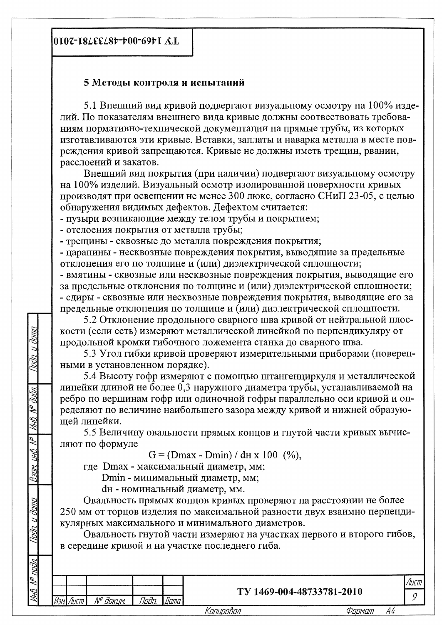0107-18LEEL8Þ-Þ00-69ÞI A.L

#### 5 Методы контроля и испытаний

5.1 Внешний вид кривой подвергают визуальному осмотру на 100% изделий. По показателям внешнего вида кривые должны соотвествовать требованиям нормативно-технической документации на прямые трубы, из которых изготавливаются эти кривые. Вставки, заплаты и наварка металла в месте повреждения кривой запрещаются. Кривые не должны иметь трещин, рванин, расслоений и закатов.

Внешний вид покрытия (при наличии) подвергают визуальному осмотру на 100% изделий. Визуальный осмотр изолированной поверхности кривых производят при освещении не менее 300 люкс, согласно СНиП 23-05, с целью обнаружения видимых дефектов. Дефектом считается:

- пузыри возникающие между телом трубы и покрытием;

- отслоения покрытия от металла трубы;

**Jana** 

 $\overline{a}$ 

hah

N® duān

MHB.

 $\mathscr{N}$ 

инů

Raam.

dana

Toon

Бл

- трещины - сквозные до металла повреждения покрытия;

- царапины - несквозные повреждения покрытия, выводящие за предельные отклонения его по толщине и (или) диэлектрической сплошности;

- вмятины - сквозные или несквозные повреждения покрытия, выводящие его за предельные отклонения по толщине и (или) диэлектрической сплошности; - сдиры - сквозные или несквозные повреждения покрытия, выводящие его за предельные отклонения по толщине и (или) диэлектрической сплошности.

5.2 Отклонение продольного сварного шва кривой от нейтральной плоскости (если есть) измеряют металлической линейкой по перпендикуляру от продольной кромки гибочного ложемента станка до сварного шва.

5.3 Угол гибки кривой проверяют измерительными приборами (поверенными в установленном порядке).

5.4 Высоту гофр измеряют с помощью штангенциркуля и металлической линейки длиной не более 0,3 наружного диаметра трубы, устанавливаемой на ребро по вершинам гофр или одиночной гофры параллельно оси кривой и определяют по величине наибольшего зазора между кривой и нижней образующей линейки.

5.5 Величину овальности прямых концов и гнутой части кривых вычисляют по формуле

 $G = (Dmax - Dmin) / dn \times 100$  (%),

где Dmax - максимальный диаметр, мм;

Dmin - минимальный диаметр, мм;

dн - номинальный диаметр, мм.

Овальность прямых концов кривых проверяют на расстоянии не более 250 мм от торцов изделия по максимальной разности двух взаимно перпендикулярных максимального и минимального диаметров.

Овальность гнутой части измеряют на участках первого и второго гибов, в середине кривой и на участке последнего гиба.

|  | _____            |      | ________                  |  |
|--|------------------|------|---------------------------|--|
|  | 1. IO<br>davu in | Цатс | TV 1469-004-48733781-2010 |  |
|  |                  |      |                           |  |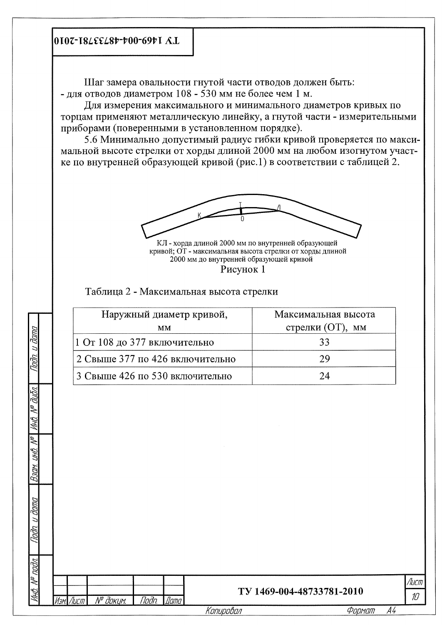0107-18LEEL8b-b00-69b1 A.L

Шаг замера овальности гнутой части отводов должен быть: - для отводов диаметром 108 - 530 мм не более чем 1 м.

Для измерения максимального и минимального диаметров кривых по торцам применяют металлическую линейку, а гнутой части - измерительными приборами (поверенными в установленном порядке).

5.6 Минимально допустимый радиус гибки кривой проверяется по максимальной высоте стрелки от хорды длиной 2000 мм на любом изогнутом участке по внутренней образующей кривой (рис.1) в соответствии с таблицей 2.



Рисунок 1

Таблица 2 - Максимальная высота стрелки

| Наружный диаметр кривой,        | Максимальная высота |
|---------------------------------|---------------------|
| MМ                              | стрелки (ОТ), мм    |
| 1 От 108 до 377 включительно    | 33                  |
| 2 Свыше 377 по 426 включительно | 29                  |
| 3 Свыше 426 по 530 включительно | 24                  |

|         |                       |                                           | Копировал | Формат                    | A4                        |
|---------|-----------------------|-------------------------------------------|-----------|---------------------------|---------------------------|
| ₹<br>ŹА | № докцм.<br>Изм. Лист | <b><i>Dama</i></b><br><i><b>Noðn.</b></i> |           | TV 1469-004-48733781-2010 | $A$ ucm<br>$\mathcal{ID}$ |
|         |                       |                                           |           |                           |                           |
|         |                       |                                           |           |                           |                           |
| n       |                       |                                           |           |                           |                           |
| ЙHЛ     |                       |                                           |           |                           |                           |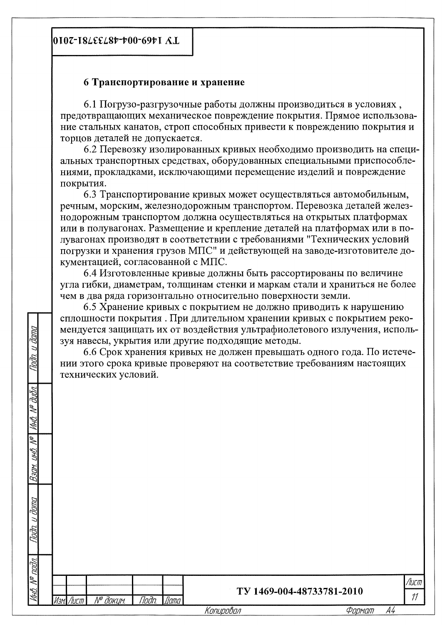0107-182εε28+-+00-69+1 Λ.Ι.

ศิกทศ

hm

חווח ≫ huh

Y (HK)

**Rany.** 

קומט יווע

№ докцм.

Лист

*Noðn* 

*Mamo* 

#### 6 Транспортирование и хранение

6.1 Погрузо-разгрузочные работы должны производиться в условиях, предотвращающих механическое повреждение покрытия. Прямое использование стальных канатов, строп способных привести к повреждению покрытия и торцов деталей не допускается.

6.2 Перевозку изолированных кривых необходимо производить на специальных транспортных средствах, оборудованных специальными приспособлениями, прокладками, исключающими перемещение изделий и повреждение покрытия.

6.3 Транспортирование кривых может осуществляться автомобильным, речным, морским, железнодорожным транспортом. Перевозка деталей железнодорожным транспортом должна осуществляться на открытых платформах или в полувагонах. Размещение и крепление деталей на платформах или в полувагонах производят в соответствии с требованиями "Технических условий погрузки и хранения грузов МПС" и действующей на заводе-изготовителе документацией, согласованной с МПС.

6.4 Изготовленные кривые должны быть рассортированы по величине угла гибки, диаметрам, толщинам стенки и маркам стали и храниться не более чем в два ряда горизонтально относительно поверхности земли.

6.5 Хранение кривых с покрытием не должно приводить к нарушению сплошности покрытия. При длительном хранении кривых с покрытием рекомендуется защищать их от воздействия ультрафиолетового излучения, используя навесы, укрытия или другие подходящие методы.

6.6 Срок хранения кривых не должен превышать одного года. По истечении этого срока кривые проверяют на соответствие требованиям настоящих технических условий.

| TY 1469-004-48733781-2010 |
|---------------------------|
|                           |

 $11$ 

/Іисп

А4 Формат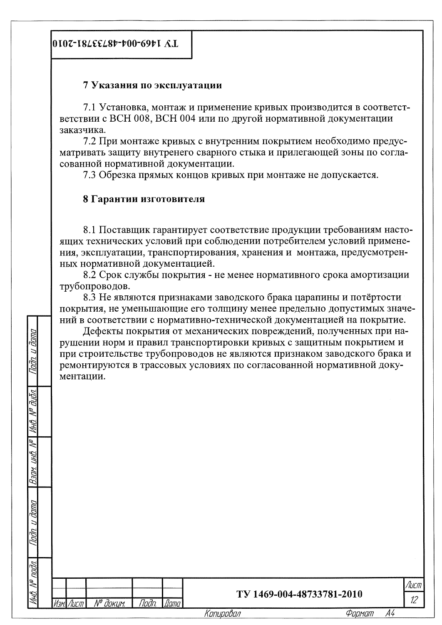#### 7 Указания по эксплуатации

7.1 Установка, монтаж и применение кривых производится в соответстветствии с ВСН 008, ВСН 004 или по другой нормативной документации заказчика.

7.2 При монтаже кривых с внутренним покрытием необходимо предусматривать защиту внутренего сварного стыка и прилегающей зоны по согласованной нормативной документации.

7.3 Обрезка прямых концов кривых при монтаже не допускается.

#### 8 Гарантии изготовителя

nung<br>L

(HK)

**Bam** 

dana

Indin

nnin Z

№ докцм.

Лист

Tloðn.

Nami

Копировал

8.1 Поставщик гарантирует соответствие продукции требованиям настоящих технических условий при соблюдении потребителем условий применения, эксплуатации, транспортирования, хранения и монтажа, предусмотренных нормативной документацией.

8.2 Срок службы покрытия - не менее нормативного срока амортизации трубопроводов.

8.3 Не являются признаками заводского брака царапины и потёртости покрытия, не уменьшающие его толщину менее предельно допустимых значений в соответствии с нормативно-технической документацией на покрытие.

Дефекты покрытия от механических повреждений, полученных при нарушении норм и правил транспортировки кривых с защитным покрытием и при строительстве трубопроводов не являются признаком заводского брака и ремонтируются в трассовых условиях по согласованной нормативной документации.

| TV 1469-004-48733781-2010 |
|---------------------------|
|                           |

Лист  $12<sup>2</sup>$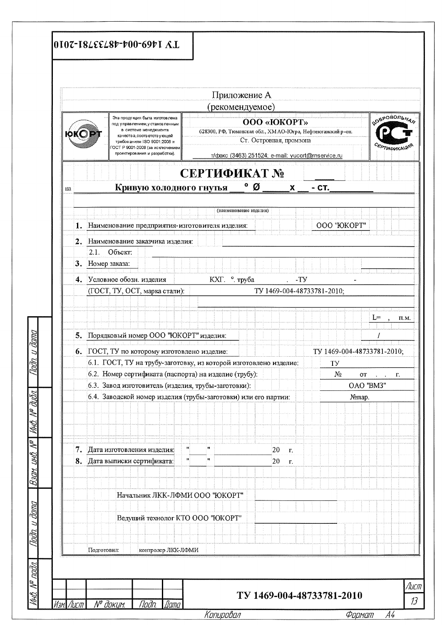|                  |                                                                                                                                                                                           | Приложение А                                                |                                               |                                                   |                            |                                           |  |  |  |  |  |
|------------------|-------------------------------------------------------------------------------------------------------------------------------------------------------------------------------------------|-------------------------------------------------------------|-----------------------------------------------|---------------------------------------------------|----------------------------|-------------------------------------------|--|--|--|--|--|
|                  | Эта проду кция была изготов лена                                                                                                                                                          | рекомендуемое)                                              |                                               |                                                   |                            |                                           |  |  |  |  |  |
|                  | под у правлением, у становленным<br>в системе менеджмента<br>качества, соответствующей<br>требованиям ISO 9001:2008 и<br>ОСТ Р 9001-2008 (за исключением<br>проектирования и разработки). | 628300, РФ, Тюменская обл., ХМ АО-Югра, Нефтеюганский р-он. | <b>OOO</b> «ЮКОРТ»<br>Ст. Островная, промзона | т/факс (3463) 251524; e-mail: yucort@rnservice.ru |                            | <b>SOEPOBOTILHAS</b><br><b>EPTHOMKALL</b> |  |  |  |  |  |
|                  |                                                                                                                                                                                           | СЕРТИФИКАТ №                                                |                                               |                                                   |                            |                                           |  |  |  |  |  |
| Ha               | Кривую холодного гнутья                                                                                                                                                                   | o                                                           | Ø                                             | $\mathbf{x}$<br>- CT.                             |                            |                                           |  |  |  |  |  |
|                  |                                                                                                                                                                                           |                                                             |                                               |                                                   |                            |                                           |  |  |  |  |  |
|                  |                                                                                                                                                                                           | (наименование изделия)                                      |                                               |                                                   |                            |                                           |  |  |  |  |  |
|                  | 1. Наименование предприятия-изготовителя изделия:                                                                                                                                         |                                                             |                                               |                                                   | ООО "ЮКОРТ"                |                                           |  |  |  |  |  |
|                  | 2. Наименование заказчика изделия:                                                                                                                                                        |                                                             |                                               |                                                   |                            |                                           |  |  |  |  |  |
| 2.1.             | Объект:                                                                                                                                                                                   |                                                             |                                               |                                                   |                            |                                           |  |  |  |  |  |
| 3. Номер заказа: |                                                                                                                                                                                           |                                                             |                                               |                                                   |                            |                                           |  |  |  |  |  |
|                  |                                                                                                                                                                                           |                                                             |                                               |                                                   |                            |                                           |  |  |  |  |  |
|                  | 4. Условное обозн. изделия                                                                                                                                                                | КХГ. ° труба                                                |                                               | -Ty                                               |                            |                                           |  |  |  |  |  |
|                  | TV 1469-004-48733781-2010;<br>(ГОСТ, ТУ, ОСТ, марка стали):                                                                                                                               |                                                             |                                               |                                                   |                            |                                           |  |  |  |  |  |
|                  |                                                                                                                                                                                           |                                                             |                                               |                                                   |                            |                                           |  |  |  |  |  |
| $L =$            |                                                                                                                                                                                           |                                                             |                                               |                                                   |                            |                                           |  |  |  |  |  |
|                  | 5. Порядковый номер ООО "ЮКОРТ" изделия:                                                                                                                                                  |                                                             |                                               |                                                   |                            |                                           |  |  |  |  |  |
|                  |                                                                                                                                                                                           |                                                             |                                               |                                                   |                            |                                           |  |  |  |  |  |
|                  | 6. ГОСТ, ТУ по которому изготовлено изделие:                                                                                                                                              |                                                             |                                               |                                                   | TY 1469-004-48733781-2010; |                                           |  |  |  |  |  |
|                  | 6.1. ГОСТ, ТУ на трубу-заготовку, из которой изготовлено изделие:                                                                                                                         |                                                             |                                               | TY                                                |                            |                                           |  |  |  |  |  |
|                  | 6.2. Номер сертификата (паспорта) на изделие (трубу):                                                                                                                                     |                                                             |                                               | $N\!o$                                            | OT                         | Г.<br>$\mathbf{v} = \mathbf{v}$ .         |  |  |  |  |  |
|                  | 6.3. Завод изготовитель (изделия, трубы-заготовки):                                                                                                                                       |                                                             |                                               |                                                   | OAO 'BM3"                  |                                           |  |  |  |  |  |
|                  | 6.4. Заводской номер изделия (трубы-заготовки) или его партии:                                                                                                                            |                                                             |                                               |                                                   | №пар.                      |                                           |  |  |  |  |  |
|                  |                                                                                                                                                                                           |                                                             |                                               |                                                   |                            |                                           |  |  |  |  |  |
|                  |                                                                                                                                                                                           |                                                             |                                               |                                                   |                            |                                           |  |  |  |  |  |
|                  |                                                                                                                                                                                           |                                                             |                                               |                                                   |                            |                                           |  |  |  |  |  |
| 7.               | Дата изготовления изделия:                                                                                                                                                                | m,<br>$\pmb{\mathsf{H}}$                                    | 20<br>T.                                      |                                                   |                            |                                           |  |  |  |  |  |
|                  | 8. Дата выписки сертификата:                                                                                                                                                              | ПÍ<br>$\pmb{\mathsf{H}}$                                    | 20<br>T.                                      |                                                   |                            |                                           |  |  |  |  |  |
|                  |                                                                                                                                                                                           |                                                             |                                               |                                                   |                            |                                           |  |  |  |  |  |
|                  |                                                                                                                                                                                           |                                                             |                                               |                                                   |                            |                                           |  |  |  |  |  |
|                  | Начальник ЛКК-ЛФМИ ООО "ЮКОРТ"                                                                                                                                                            |                                                             |                                               |                                                   |                            |                                           |  |  |  |  |  |
|                  |                                                                                                                                                                                           |                                                             |                                               |                                                   |                            |                                           |  |  |  |  |  |
|                  | Ведущий технолог КТО ООО "ЮКОРТ"                                                                                                                                                          |                                                             |                                               |                                                   |                            |                                           |  |  |  |  |  |
|                  |                                                                                                                                                                                           |                                                             |                                               |                                                   |                            |                                           |  |  |  |  |  |
|                  |                                                                                                                                                                                           |                                                             |                                               |                                                   |                            |                                           |  |  |  |  |  |
|                  |                                                                                                                                                                                           |                                                             |                                               |                                                   |                            |                                           |  |  |  |  |  |

<u> кинирийнин</u>

<u>чирмаіп</u> A5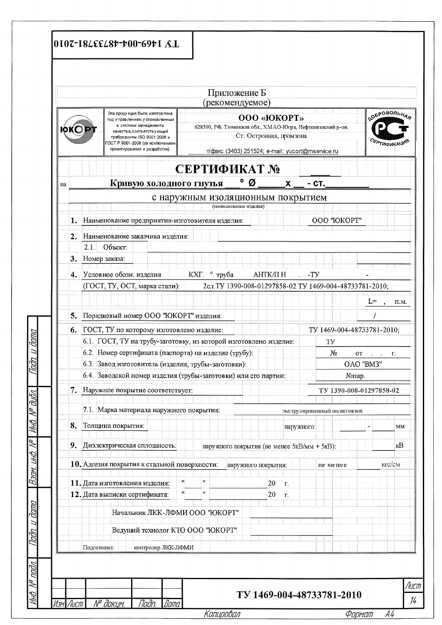|                  |                                                                                                                                                                                                                             | Приложение Б<br>рекомендуемое)                                                                                                                                   |                             |                                                     |  |  |  |  |  |
|------------------|-----------------------------------------------------------------------------------------------------------------------------------------------------------------------------------------------------------------------------|------------------------------------------------------------------------------------------------------------------------------------------------------------------|-----------------------------|-----------------------------------------------------|--|--|--|--|--|
|                  | Эта проду кция была изготовлена<br>под управлением, у становленным<br>в системе менеджмента<br>качества, соответствующей<br>требованиям ISO 9001:2008 и<br>ОСТ Р 9001-2008 (за исключением<br>проектирования и разработки). | <b>OOO «ЮКОРТ»</b><br>628300, РФ, Тюменская обл., ХМАО-Югра, Нефтеюганский р-он.<br>Ст. Островная, промзона<br>т/факс (3463) 251524; e-mail: yucort@rnservice.ru |                             | <b>COEPOBOJILHAR</b><br><b><i>EPTHOLIKALLIN</i></b> |  |  |  |  |  |
|                  |                                                                                                                                                                                                                             | СЕРТИФИКАТ №                                                                                                                                                     |                             |                                                     |  |  |  |  |  |
| Ha               | Кривую холодного гнутья                                                                                                                                                                                                     | Ø<br>$\mathbf{x}$                                                                                                                                                | $-CT.$                      |                                                     |  |  |  |  |  |
|                  |                                                                                                                                                                                                                             | с наружным изоляционным покрытием                                                                                                                                |                             |                                                     |  |  |  |  |  |
|                  |                                                                                                                                                                                                                             | (наименование изделия)                                                                                                                                           |                             |                                                     |  |  |  |  |  |
| 1.               | Наименование предприятия-изготовителя изделия:                                                                                                                                                                              |                                                                                                                                                                  | ООО "ЮКОРТ"                 |                                                     |  |  |  |  |  |
| $\overline{2}$ . | Наименование заказчика изделия:                                                                                                                                                                                             |                                                                                                                                                                  |                             |                                                     |  |  |  |  |  |
| 2.1              | Объект:                                                                                                                                                                                                                     |                                                                                                                                                                  |                             |                                                     |  |  |  |  |  |
| 3. Номер заказа: |                                                                                                                                                                                                                             |                                                                                                                                                                  |                             |                                                     |  |  |  |  |  |
|                  | 4. Условное обозн. изделия                                                                                                                                                                                                  | КХГ. ° труба<br>АНТК/ПН                                                                                                                                          | -Ty                         |                                                     |  |  |  |  |  |
|                  | (ГОСТ, ТУ, ОСТ, марка стали):                                                                                                                                                                                               | 2сл. ТУ 1390-008-01297858-02 ТУ 1469-004-48733781-2010;                                                                                                          |                             |                                                     |  |  |  |  |  |
|                  |                                                                                                                                                                                                                             |                                                                                                                                                                  |                             | L≓<br>П.М.                                          |  |  |  |  |  |
| 5.               | Порядковый номер ООО "ЮКОРТ" изделия:                                                                                                                                                                                       |                                                                                                                                                                  |                             |                                                     |  |  |  |  |  |
|                  |                                                                                                                                                                                                                             |                                                                                                                                                                  |                             |                                                     |  |  |  |  |  |
|                  | 6. ГОСТ, ТУ по которому изготовлено изделие:<br>TV 1469-004-48733781-2010;                                                                                                                                                  |                                                                                                                                                                  |                             |                                                     |  |  |  |  |  |
|                  | 6.1. ГОСТ, ТУ на трубу-заготовку, из которой изготовлено изделие:<br>ΤУ<br>6.2. Номер сертификата (паспорта) на изделие (трубу):                                                                                            |                                                                                                                                                                  |                             |                                                     |  |  |  |  |  |
|                  | 6.3. Завод изготовитель (изделия, трубы-заготовки):                                                                                                                                                                         |                                                                                                                                                                  | N₫                          | OТ<br>Г.<br>$\mathbf{r} = \mathbf{r}$<br>OAO "BM3"  |  |  |  |  |  |
|                  |                                                                                                                                                                                                                             | 6.4. Заводской номер изделия (трубы-заготовки) или его партии:                                                                                                   |                             | №пар.                                               |  |  |  |  |  |
|                  |                                                                                                                                                                                                                             |                                                                                                                                                                  |                             |                                                     |  |  |  |  |  |
| 7.               | Наружное покрытие соответствует:                                                                                                                                                                                            |                                                                                                                                                                  |                             | TV 1390-008-01297858-02                             |  |  |  |  |  |
|                  | 7.1. Марка материала наружного покрытия:                                                                                                                                                                                    |                                                                                                                                                                  | экструдированный полиэтилен |                                                     |  |  |  |  |  |
| 8.               | Толщина покрытия:                                                                                                                                                                                                           |                                                                                                                                                                  | наружного:                  | MM                                                  |  |  |  |  |  |
|                  |                                                                                                                                                                                                                             |                                                                                                                                                                  |                             | кB                                                  |  |  |  |  |  |
| 9.               | Диэлектрическая сплошность:                                                                                                                                                                                                 | наружного покрытия (не менее 5кB/мм + 5кB):                                                                                                                      |                             |                                                     |  |  |  |  |  |
|                  | 10. Адгезия покрытия к стальной поверхности:                                                                                                                                                                                | наружного покрытия:                                                                                                                                              | He Mehee                    | кгс/см                                              |  |  |  |  |  |
|                  | 11. Дата изготовления изделия:                                                                                                                                                                                              | Ħ,<br>$\ddot{\phantom{1}}$<br>20                                                                                                                                 |                             |                                                     |  |  |  |  |  |
|                  | 12. Дата выписки сертификата:                                                                                                                                                                                               | $\Gamma$ .<br>Ħ<br>Ħ<br>20                                                                                                                                       |                             |                                                     |  |  |  |  |  |
|                  |                                                                                                                                                                                                                             | Г.                                                                                                                                                               |                             |                                                     |  |  |  |  |  |
|                  | Начальник ЛКК-ЛФМИ ООО "ЮКОРТ"                                                                                                                                                                                              |                                                                                                                                                                  |                             |                                                     |  |  |  |  |  |
|                  | Ведущий технолог КТО ООО "ЮКОРТ"                                                                                                                                                                                            |                                                                                                                                                                  |                             |                                                     |  |  |  |  |  |
|                  |                                                                                                                                                                                                                             |                                                                                                                                                                  |                             |                                                     |  |  |  |  |  |
|                  |                                                                                                                                                                                                                             |                                                                                                                                                                  |                             |                                                     |  |  |  |  |  |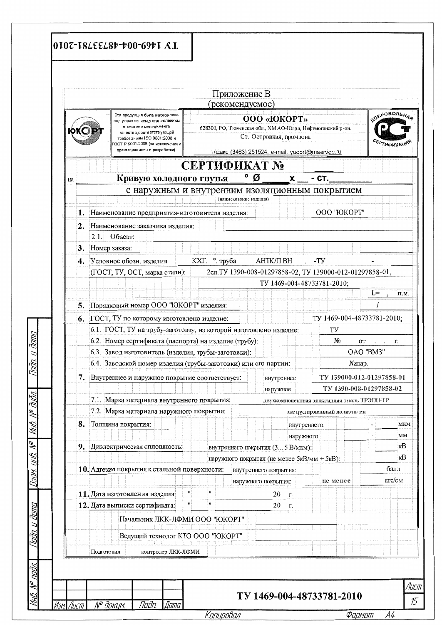|    |                                                                                                                                                                                                                               | Приложение В<br>(рекомендуемое) |                                                                                                                                                                 |                                                          |                              |  |  |  |  |  |
|----|-------------------------------------------------------------------------------------------------------------------------------------------------------------------------------------------------------------------------------|---------------------------------|-----------------------------------------------------------------------------------------------------------------------------------------------------------------|----------------------------------------------------------|------------------------------|--|--|--|--|--|
|    | Эта проду кция была изготов лена<br>под у правлением, у становленным<br>в системе менеджмента<br>качества, соответствующей<br>требованиям ISO 9001:2008 и<br>ОСТ Р 9001-2008 (за исключением<br>проектирования и разработки). |                                 | <b>OOO «ЮКОРТ»</b><br>628300, РФ, Тюменская обл., ХМАО-Югра, Нефтеюганский р-он.<br>Ст. Островная, промзона<br>т/факс (3463) 251524; e-mail: yucort@mservice.ru |                                                          | COBPOBOTILHAD<br>EPTHOMKALLW |  |  |  |  |  |
|    |                                                                                                                                                                                                                               | СЕРТИФИКАТ №                    |                                                                                                                                                                 |                                                          |                              |  |  |  |  |  |
| на | Кривую холодного гнутья                                                                                                                                                                                                       |                                 | ∘ø<br>X                                                                                                                                                         | - CT.                                                    |                              |  |  |  |  |  |
|    | с наружным и внутренним изоляционным покрытием                                                                                                                                                                                |                                 |                                                                                                                                                                 |                                                          |                              |  |  |  |  |  |
|    |                                                                                                                                                                                                                               | (наименование изделия)          |                                                                                                                                                                 |                                                          |                              |  |  |  |  |  |
| 1. | Наименование предприятия-изготовителя изделия:                                                                                                                                                                                |                                 |                                                                                                                                                                 | ООО "ЮКОРТ"                                              |                              |  |  |  |  |  |
| 2. | Наименование заказчика изделия:                                                                                                                                                                                               |                                 |                                                                                                                                                                 |                                                          |                              |  |  |  |  |  |
|    | Объект:<br>2.1.                                                                                                                                                                                                               |                                 |                                                                                                                                                                 |                                                          |                              |  |  |  |  |  |
|    | 3. Номер заказа:                                                                                                                                                                                                              |                                 |                                                                                                                                                                 |                                                          |                              |  |  |  |  |  |
|    | 4. Условное обозн. изделия                                                                                                                                                                                                    | КХГ. ° труба                    | АНТК/П ВН                                                                                                                                                       | $-TY$                                                    |                              |  |  |  |  |  |
|    | (ГОСТ, ТУ, ОСТ, марка стали):                                                                                                                                                                                                 |                                 |                                                                                                                                                                 | 2сл. ТУ 1390-008-01297858-02, ТУ 139000-012-01297858-01, |                              |  |  |  |  |  |
|    |                                                                                                                                                                                                                               |                                 | TY 1469-004-48733781-2010;                                                                                                                                      |                                                          |                              |  |  |  |  |  |
|    |                                                                                                                                                                                                                               |                                 |                                                                                                                                                                 |                                                          | $L =$<br>П.М.                |  |  |  |  |  |
| 5. | Порядковый номер ООО "ЮКОРТ" изделия:                                                                                                                                                                                         |                                 |                                                                                                                                                                 |                                                          |                              |  |  |  |  |  |
|    | 6. ГОСТ, ТУ по которому изготовлено изделие:                                                                                                                                                                                  |                                 |                                                                                                                                                                 | TY 1469-004-48733781-2010;                               |                              |  |  |  |  |  |
|    | 6.1. ГОСТ, ТУ на трубу-заготовку, из которой изготовлено изделие:<br>ΤУ                                                                                                                                                       |                                 |                                                                                                                                                                 |                                                          |                              |  |  |  |  |  |
|    | 6.2. Номер сертификата (паспорта) на изделие (трубу):<br>N∘                                                                                                                                                                   |                                 |                                                                                                                                                                 |                                                          |                              |  |  |  |  |  |
|    | 6.3. Завод изготовитель (изделия, трубы-заготовки):                                                                                                                                                                           |                                 |                                                                                                                                                                 | OТ<br>OAO "BM3"                                          | r.<br>$\cdots$               |  |  |  |  |  |
|    | 6.4. Заводской номер изделия (трубы-заготовки) или его партии:                                                                                                                                                                |                                 |                                                                                                                                                                 | №пар.                                                    |                              |  |  |  |  |  |
| 7. | Внутреннее и наружное покрытие соответствует:                                                                                                                                                                                 |                                 |                                                                                                                                                                 | TY 139000-012-01297858-01                                |                              |  |  |  |  |  |
|    |                                                                                                                                                                                                                               |                                 | внутреннее<br>наружное                                                                                                                                          | TY 1390-008-01297858-02                                  |                              |  |  |  |  |  |
|    | 7.1. Марка материала внутреннего покрытия:                                                                                                                                                                                    |                                 |                                                                                                                                                                 |                                                          |                              |  |  |  |  |  |
|    | 7.2. Марка материала наружного покрытия:                                                                                                                                                                                      | экструдированный полиэтичен     | двухкомпонентная эпоксидная эмаль ТРЭПП-ТР                                                                                                                      |                                                          |                              |  |  |  |  |  |
|    |                                                                                                                                                                                                                               |                                 |                                                                                                                                                                 |                                                          |                              |  |  |  |  |  |
| 8. | Толщина покрытия:                                                                                                                                                                                                             |                                 | внутреннего:                                                                                                                                                    |                                                          | MKM                          |  |  |  |  |  |
|    |                                                                                                                                                                                                                               |                                 | наружного:                                                                                                                                                      |                                                          | MМ<br>ĸB                     |  |  |  |  |  |
| 9. | Диэлектрическая сплошность:                                                                                                                                                                                                   |                                 | внутреннего покрытия (3 5 В/мкм):                                                                                                                               |                                                          | кB                           |  |  |  |  |  |
|    |                                                                                                                                                                                                                               |                                 | наружного покрытия (не менее 5кВ/мм + 5кВ):                                                                                                                     |                                                          | балл                         |  |  |  |  |  |
|    | 10. Адгезия покрытия к стальной поверхности:                                                                                                                                                                                  |                                 | внутреннего покрытия:                                                                                                                                           |                                                          | кгс/см                       |  |  |  |  |  |
|    | $\mathbf{H}$                                                                                                                                                                                                                  | Ħ                               | наружного покрытия:                                                                                                                                             | He Menee                                                 |                              |  |  |  |  |  |
|    | 11. Дата изготовления изделия:<br>пĮ                                                                                                                                                                                          |                                 | 20<br>Г.                                                                                                                                                        |                                                          |                              |  |  |  |  |  |
|    | 12. Дата выписки сертификата:                                                                                                                                                                                                 |                                 | 20<br>Г.                                                                                                                                                        |                                                          |                              |  |  |  |  |  |
|    | Начальник ЛКК-ЛФМИ ООО "ЮКОРТ"                                                                                                                                                                                                |                                 |                                                                                                                                                                 |                                                          |                              |  |  |  |  |  |
|    | Ведущий технолог КТО ООО "ЮКОРТ"                                                                                                                                                                                              |                                 |                                                                                                                                                                 |                                                          |                              |  |  |  |  |  |
|    |                                                                                                                                                                                                                               |                                 |                                                                                                                                                                 |                                                          |                              |  |  |  |  |  |
|    | контролер ЛКК-ЛФМИ<br>Подготовил:                                                                                                                                                                                             |                                 |                                                                                                                                                                 |                                                          |                              |  |  |  |  |  |

<u>Nurupuuun</u>

י וושרישע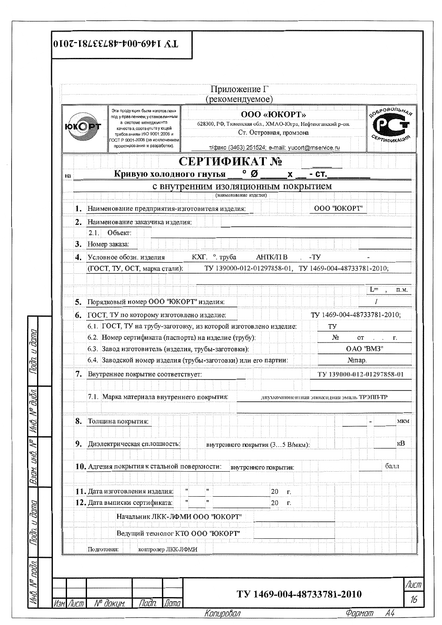|    |                                                               |                                                                                                                                                                                                                                | Приложение Г<br>(рекомендуемое)    |                                                                                                                                                                            |                            |                                                  |  |  |  |  |  |  |
|----|---------------------------------------------------------------|--------------------------------------------------------------------------------------------------------------------------------------------------------------------------------------------------------------------------------|------------------------------------|----------------------------------------------------------------------------------------------------------------------------------------------------------------------------|----------------------------|--------------------------------------------------|--|--|--|--|--|--|
|    |                                                               | Эта проду кция была изготов лена<br>под у правлением, у становленным<br>в системе менеджмента<br>качества, соответству ющей<br>требованиям ISO 9001:2008 и<br>ОСТ Р 9001-2008 (за исключением<br>проектирования и разработки). |                                    | <b>OOO</b> « <b>IOKOPT</b> »<br>628300, РФ, Тюменская обл., ХМАО-Югра, Нефтеюганский р-он.<br>Ст. Островная, промзона<br>т/факс (3463) 251524; e-mail: yucort@rnservice.ru |                            | <b>DEPOBOJILHAS</b><br><b><i>CEPTHOMKALL</i></b> |  |  |  |  |  |  |
|    |                                                               |                                                                                                                                                                                                                                | СЕРТИФИКАТ №                       |                                                                                                                                                                            |                            |                                                  |  |  |  |  |  |  |
| нa |                                                               | Кривую холодного гнутья                                                                                                                                                                                                        | ∘ø                                 | X                                                                                                                                                                          | - CT.                      |                                                  |  |  |  |  |  |  |
|    | с внутренним изоляционным покрытием<br>(наименование изделия) |                                                                                                                                                                                                                                |                                    |                                                                                                                                                                            |                            |                                                  |  |  |  |  |  |  |
|    |                                                               |                                                                                                                                                                                                                                |                                    |                                                                                                                                                                            |                            |                                                  |  |  |  |  |  |  |
|    |                                                               | 1. Наименование предприятия-изготовителя изделия:                                                                                                                                                                              |                                    |                                                                                                                                                                            | ООО "ЮКОРТ"                |                                                  |  |  |  |  |  |  |
|    |                                                               | 2. Наименование заказчика изделия:                                                                                                                                                                                             |                                    |                                                                                                                                                                            |                            |                                                  |  |  |  |  |  |  |
|    | 2.1.                                                          | Объект:                                                                                                                                                                                                                        |                                    |                                                                                                                                                                            |                            |                                                  |  |  |  |  |  |  |
|    |                                                               | 3. Номер заказа:                                                                                                                                                                                                               |                                    |                                                                                                                                                                            |                            |                                                  |  |  |  |  |  |  |
|    |                                                               | АНТК/ПВ<br>-TY<br>4. Условное обозн. изделия<br>КХГ. ° труба                                                                                                                                                                   |                                    |                                                                                                                                                                            |                            |                                                  |  |  |  |  |  |  |
|    |                                                               | TV 139000-012-01297858-01, TV 1469-004-48733781-2010;<br>(ГОСТ, ТУ, ОСТ, марка стали):                                                                                                                                         |                                    |                                                                                                                                                                            |                            |                                                  |  |  |  |  |  |  |
|    |                                                               |                                                                                                                                                                                                                                |                                    |                                                                                                                                                                            |                            |                                                  |  |  |  |  |  |  |
|    | $L =$<br>П.М.<br>$\cdot$                                      |                                                                                                                                                                                                                                |                                    |                                                                                                                                                                            |                            |                                                  |  |  |  |  |  |  |
|    | 5. Порядковый номер ООО "ЮКОРТ" изделия:                      |                                                                                                                                                                                                                                |                                    |                                                                                                                                                                            |                            |                                                  |  |  |  |  |  |  |
|    |                                                               | 6. ГОСТ, ТУ по которому изготовлено изделие:                                                                                                                                                                                   |                                    |                                                                                                                                                                            | TV 1469-004-48733781-2010; |                                                  |  |  |  |  |  |  |
|    |                                                               | 6.1. ГОСТ, ТУ на трубу-заготовку, из которой изготовлено изделие:                                                                                                                                                              |                                    |                                                                                                                                                                            | TУ                         |                                                  |  |  |  |  |  |  |
|    |                                                               | 6.2. Номер сертификата (паспорта) на изделие (трубу):                                                                                                                                                                          |                                    |                                                                                                                                                                            | No                         | OТ<br>г.                                         |  |  |  |  |  |  |
|    |                                                               | 6.3. Завод изготовитель (изделия, трубы-заготовки):                                                                                                                                                                            |                                    |                                                                                                                                                                            | OAO "BM3"<br>№пар.         |                                                  |  |  |  |  |  |  |
|    |                                                               | 6.4. Заводской номер изделия (трубы-заготовки) или его партии:                                                                                                                                                                 |                                    |                                                                                                                                                                            |                            |                                                  |  |  |  |  |  |  |
|    |                                                               | 7. Внутреннее покрытие соответствует:                                                                                                                                                                                          |                                    | TY 139000-012-01297858-01                                                                                                                                                  |                            |                                                  |  |  |  |  |  |  |
|    |                                                               |                                                                                                                                                                                                                                |                                    |                                                                                                                                                                            |                            |                                                  |  |  |  |  |  |  |
|    |                                                               | 7.1. Марка материала внутреннего покрытия:                                                                                                                                                                                     |                                    | двухкомпонентная эпоксидная эмаль ТРЭШ-ТР                                                                                                                                  |                            |                                                  |  |  |  |  |  |  |
|    |                                                               |                                                                                                                                                                                                                                |                                    |                                                                                                                                                                            |                            |                                                  |  |  |  |  |  |  |
| 8. |                                                               | Толщина покрытия:                                                                                                                                                                                                              |                                    |                                                                                                                                                                            |                            | MKM                                              |  |  |  |  |  |  |
|    |                                                               |                                                                                                                                                                                                                                |                                    |                                                                                                                                                                            |                            |                                                  |  |  |  |  |  |  |
| 9. |                                                               | Диэлектрическая сплошность:                                                                                                                                                                                                    |                                    | внутреннего покрытия (3 5 В/мкм):                                                                                                                                          |                            | ĸB                                               |  |  |  |  |  |  |
|    |                                                               |                                                                                                                                                                                                                                |                                    |                                                                                                                                                                            |                            |                                                  |  |  |  |  |  |  |
|    |                                                               | 10. Адгезия покрытия к стальной поверхности:                                                                                                                                                                                   | внутреннего покрытия:              |                                                                                                                                                                            | балл                       |                                                  |  |  |  |  |  |  |
|    |                                                               |                                                                                                                                                                                                                                |                                    |                                                                                                                                                                            |                            |                                                  |  |  |  |  |  |  |
|    |                                                               | 11. Дата изготовления изделия:                                                                                                                                                                                                 | $\pmb{\mathsf{H}}$<br>$\mathbf{H}$ | 20<br>Г.                                                                                                                                                                   |                            |                                                  |  |  |  |  |  |  |
|    |                                                               | 12. Дата выписки сертификата:                                                                                                                                                                                                  | w                                  | 20<br>Г.                                                                                                                                                                   |                            |                                                  |  |  |  |  |  |  |
|    |                                                               |                                                                                                                                                                                                                                |                                    |                                                                                                                                                                            |                            |                                                  |  |  |  |  |  |  |
|    |                                                               | Начальник ЛКК-ЛФМИ ООО "ЮКОРТ"                                                                                                                                                                                                 |                                    |                                                                                                                                                                            |                            |                                                  |  |  |  |  |  |  |
|    |                                                               | Ведущий технолог КТО ООО "ЮКОРТ"                                                                                                                                                                                               |                                    |                                                                                                                                                                            |                            |                                                  |  |  |  |  |  |  |
|    |                                                               |                                                                                                                                                                                                                                |                                    |                                                                                                                                                                            |                            |                                                  |  |  |  |  |  |  |
|    | Подготовил:                                                   | контролер ЛКК-ЛФМИ                                                                                                                                                                                                             |                                    |                                                                                                                                                                            |                            |                                                  |  |  |  |  |  |  |

<u>Формат А4</u>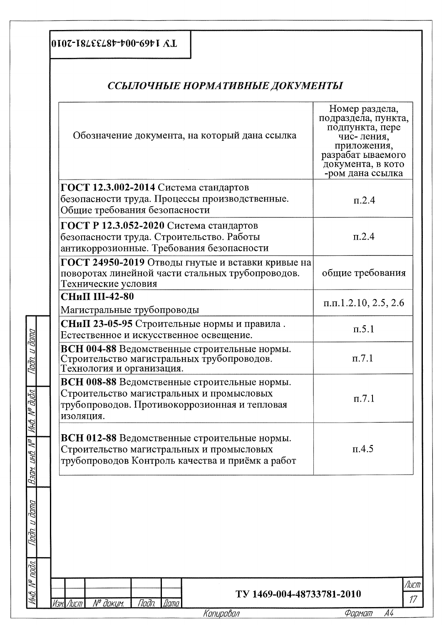## 0107-182εε28++00-69+1 Λ.Ι.

Tadn. u đama

MHO. N<sup>o</sup> đườn.

 $\mathbb{R}$ 

Взам. инв.

dana  $\overline{a}$ Thith

 $\bar{\mathcal{N}}^{\rho}$  nadn.

huh

## ССЫЛОЧНЫЕ НОРМАТИВНЫЕ ДОКУМЕНТЫ

| Обозначение документа, на который дана ссылка                                                                                                           | Номер раздела,<br>подраздела, пункта,<br>подпункта, пере<br>чис- ления,<br>приложения,<br>разрабат ываемого<br>документа, в кото<br>-ром дана ссылка |
|---------------------------------------------------------------------------------------------------------------------------------------------------------|------------------------------------------------------------------------------------------------------------------------------------------------------|
| ГОСТ 12.3.002-2014 Система стандартов<br>безопасности труда. Процессы производственные.<br>Общие требования безопасности                                | $\pi$ .2.4                                                                                                                                           |
| ГОСТ Р 12.3.052-2020 Система стандартов<br>безопасности труда. Строительство. Работы<br>антикоррозионные. Требования безопасности                       | $\pi$ .2.4                                                                                                                                           |
| ГОСТ 24950-2019 Отводы гнутые и вставки кривые на<br>поворотах линейной части стальных трубопроводов.<br>Технические условия                            | общие требования                                                                                                                                     |
| <b>СНиП III-42-80</b><br>Магистральные трубопроводы                                                                                                     | $\pi.\pi.1.2.10, 2.5, 2.6$                                                                                                                           |
| СНиП 23-05-95 Строительные нормы и правила.<br>Естественное и искусственное освещение.                                                                  | $\pi$ .5.1                                                                                                                                           |
| ВСН 004-88 Ведомственные строительные нормы.<br>Строительство магистральных трубопроводов.<br>Технология и организация.                                 | $\pi$ .7.1                                                                                                                                           |
| ВСН 008-88 Ведомственные строительные нормы.<br>Строительство магистральных и промысловых<br>трубопроводов. Противокоррозионная и тепловая<br>изоляция. | $\pi$ .7.1                                                                                                                                           |
| ВСН 012-88 Ведомственные строительные нормы.<br>Строительство магистральных и промысловых<br>трубопроводов Контроль качества и приёмк а работ           | $\Pi$ .4.5                                                                                                                                           |
|                                                                                                                                                         |                                                                                                                                                      |
| TV 1469-004-48733781-2010                                                                                                                               |                                                                                                                                                      |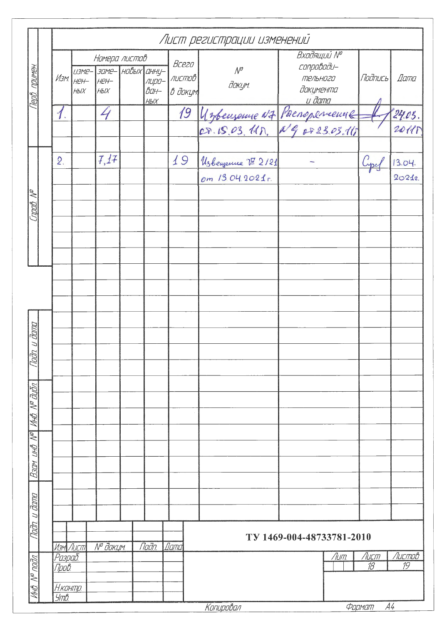|                           |                                             |                           |                                                                       |                                   |                                    | Лист регистрации изменений            |                                                                     |                            |                   |
|---------------------------|---------------------------------------------|---------------------------|-----------------------------------------------------------------------|-----------------------------------|------------------------------------|---------------------------------------|---------------------------------------------------------------------|----------------------------|-------------------|
| Терв примен.              | $M$ зм $\parallel$                          | $H$ e $H$ -<br><b>НЫХ</b> | Номера листов<br><i>изме- заме- новых анну-</i><br>HEH-<br><b>НЫХ</b> | лиро-<br>$\vec{BA}$<br><b>НЫХ</b> | Bcezo<br>листов<br>В докум         | $\mathcal{N}^{\mathcal{O}}$<br>докум. | Входящий Nº<br>conpobodu-<br>тельного<br>документа<br><u>u đama</u> | Подпись                    | Dama              |
|                           | $\boldsymbol{\Lambda}$                      |                           | 4                                                                     |                                   | 19                                 |                                       | Unbenseme NZ Paenopemente                                           |                            | 24.05.<br>2011 P. |
| npab. Nº                  | $\overline{2}$                              |                           | 7,17                                                                  |                                   | 19                                 | Usbenjenne V 2121<br>om 13.04.2021 r. |                                                                     | Cypel                      | 13.04.<br>20212   |
|                           |                                             |                           |                                                                       |                                   |                                    |                                       |                                                                     |                            |                   |
|                           |                                             |                           |                                                                       |                                   |                                    |                                       |                                                                     |                            |                   |
| n, u đana<br>BQ           |                                             |                           |                                                                       |                                   |                                    |                                       |                                                                     |                            |                   |
| Инб. № дубл.              |                                             |                           |                                                                       |                                   |                                    |                                       |                                                                     |                            |                   |
| Baam uhB N <sup>o</sup>   |                                             |                           |                                                                       |                                   |                                    |                                       |                                                                     |                            |                   |
| Tadn u dama               |                                             |                           |                                                                       | Tloðn.                            | $\overline{\mathit{I} \mathit{a}}$ |                                       | TV 1469-004-48733781-2010                                           |                            |                   |
| MHB. N <sup>o</sup> nodn. | Разраб<br><b>Πров.</b><br>Н. контр.<br>Утв. | Изм Лист                  | № докум.                                                              |                                   |                                    | Копировал                             | Лит.                                                                | Лист<br>18<br>A4<br>Формат | Листов<br>19      |